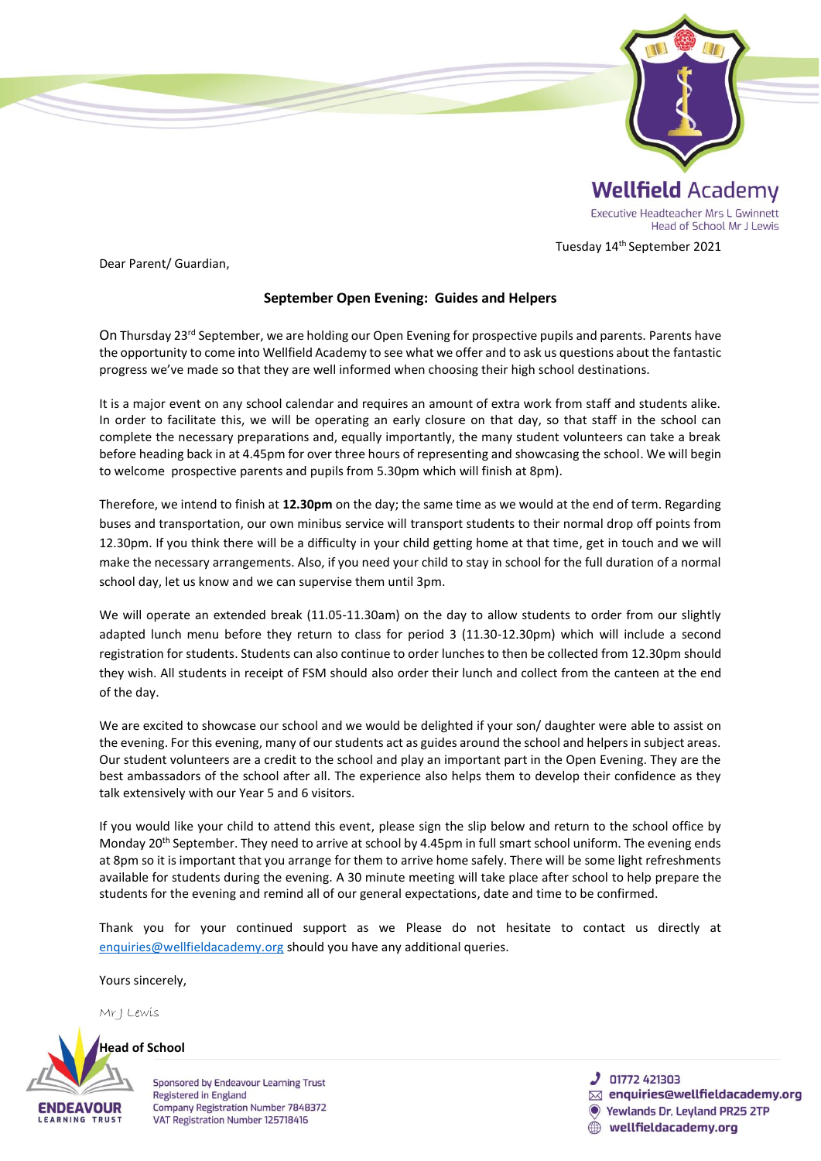

Tuesday 14th September 2021

Dear Parent/ Guardian,

## **September Open Evening: Guides and Helpers**

On Thursday 23<sup>rd</sup> September, we are holding our Open Evening for prospective pupils and parents. Parents have the opportunity to come into Wellfield Academy to see what we offer and to ask us questions about the fantastic progress we've made so that they are well informed when choosing their high school destinations.

It is a major event on any school calendar and requires an amount of extra work from staff and students alike. In order to facilitate this, we will be operating an early closure on that day, so that staff in the school can complete the necessary preparations and, equally importantly, the many student volunteers can take a break before heading back in at 4.45pm for over three hours of representing and showcasing the school. We will begin to welcome prospective parents and pupils from 5.30pm which will finish at 8pm).

Therefore, we intend to finish at **12.30pm** on the day; the same time as we would at the end of term. Regarding buses and transportation, our own minibus service will transport students to their normal drop off points from 12.30pm. If you think there will be a difficulty in your child getting home at that time, get in touch and we will make the necessary arrangements. Also, if you need your child to stay in school for the full duration of a normal school day, let us know and we can supervise them until 3pm.

We will operate an extended break (11.05-11.30am) on the day to allow students to order from our slightly adapted lunch menu before they return to class for period 3 (11.30-12.30pm) which will include a second registration for students. Students can also continue to order lunches to then be collected from 12.30pm should they wish. All students in receipt of FSM should also order their lunch and collect from the canteen at the end of the day.

We are excited to showcase our school and we would be delighted if your son/ daughter were able to assist on the evening. For this evening, many of our students act as guides around the school and helpers in subject areas. Our student volunteers are a credit to the school and play an important part in the Open Evening. They are the best ambassadors of the school after all. The experience also helps them to develop their confidence as they talk extensively with our Year 5 and 6 visitors.

If you would like your child to attend this event, please sign the slip below and return to the school office by Monday 20<sup>th</sup> September. They need to arrive at school by 4.45pm in full smart school uniform. The evening ends at 8pm so it is important that you arrange for them to arrive home safely. There will be some light refreshments available for students during the evening. A 30 minute meeting will take place after school to help prepare the students for the evening and remind all of our general expectations, date and time to be confirmed.

Thank you for your continued support as we Please do not hesitate to contact us directly at [enquiries@wellfieldacademy.org](mailto:enquiries@wellfieldacademy.org) should you have any additional queries.

Yours sincerely,

Mr J Lewis



**Sponsored by Endeavour Learning Trust** Registered in England Company Registration Number 7848372 VAT Registration Number 125718416

**J** 01772 421303

- $\boxtimes$  enquiries@wellfieldacademy.org
- **Yewlands Dr. Leyland PR25 2TP** wellfieldacademy.org